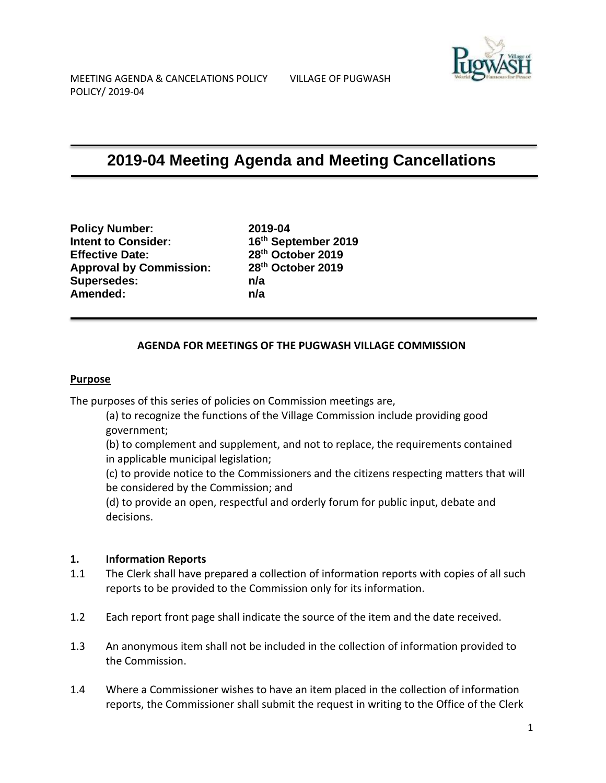# **2019-04 Meeting Agenda and Meeting Cancellations**

**Policy Number: 2019-04 Intent to Consider: 16th September 2019 Effective Date: 28th October 2019 Approval by Commission: 28th October 2019 Supersedes: n/a Amended: n/a**

## **AGENDA FOR MEETINGS OF THE PUGWASH VILLAGE COMMISSION**

#### **Purpose**

The purposes of this series of policies on Commission meetings are,

(a) to recognize the functions of the Village Commission include providing good government;

(b) to complement and supplement, and not to replace, the requirements contained in applicable municipal legislation;

(c) to provide notice to the Commissioners and the citizens respecting matters that will be considered by the Commission; and

(d) to provide an open, respectful and orderly forum for public input, debate and decisions.

#### **1. Information Reports**

- 1.1 The Clerk shall have prepared a collection of information reports with copies of all such reports to be provided to the Commission only for its information.
- 1.2 Each report front page shall indicate the source of the item and the date received.
- 1.3 An anonymous item shall not be included in the collection of information provided to the Commission.
- 1.4 Where a Commissioner wishes to have an item placed in the collection of information reports, the Commissioner shall submit the request in writing to the Office of the Clerk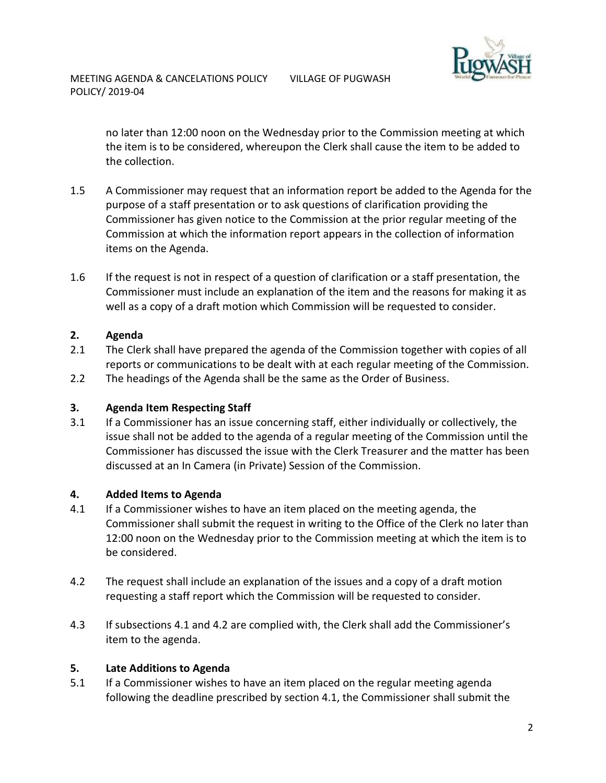

no later than 12:00 noon on the Wednesday prior to the Commission meeting at which the item is to be considered, whereupon the Clerk shall cause the item to be added to the collection.

- 1.5 A Commissioner may request that an information report be added to the Agenda for the purpose of a staff presentation or to ask questions of clarification providing the Commissioner has given notice to the Commission at the prior regular meeting of the Commission at which the information report appears in the collection of information items on the Agenda.
- 1.6 If the request is not in respect of a question of clarification or a staff presentation, the Commissioner must include an explanation of the item and the reasons for making it as well as a copy of a draft motion which Commission will be requested to consider.

# **2. Agenda**

- 2.1 The Clerk shall have prepared the agenda of the Commission together with copies of all reports or communications to be dealt with at each regular meeting of the Commission.
- 2.2 The headings of the Agenda shall be the same as the Order of Business.

## **3. Agenda Item Respecting Staff**

3.1 If a Commissioner has an issue concerning staff, either individually or collectively, the issue shall not be added to the agenda of a regular meeting of the Commission until the Commissioner has discussed the issue with the Clerk Treasurer and the matter has been discussed at an In Camera (in Private) Session of the Commission.

## **4. Added Items to Agenda**

- 4.1 If a Commissioner wishes to have an item placed on the meeting agenda, the Commissioner shall submit the request in writing to the Office of the Clerk no later than 12:00 noon on the Wednesday prior to the Commission meeting at which the item is to be considered.
- 4.2 The request shall include an explanation of the issues and a copy of a draft motion requesting a staff report which the Commission will be requested to consider.
- 4.3 If subsections 4.1 and 4.2 are complied with, the Clerk shall add the Commissioner's item to the agenda.

## **5. Late Additions to Agenda**

5.1 If a Commissioner wishes to have an item placed on the regular meeting agenda following the deadline prescribed by section 4.1, the Commissioner shall submit the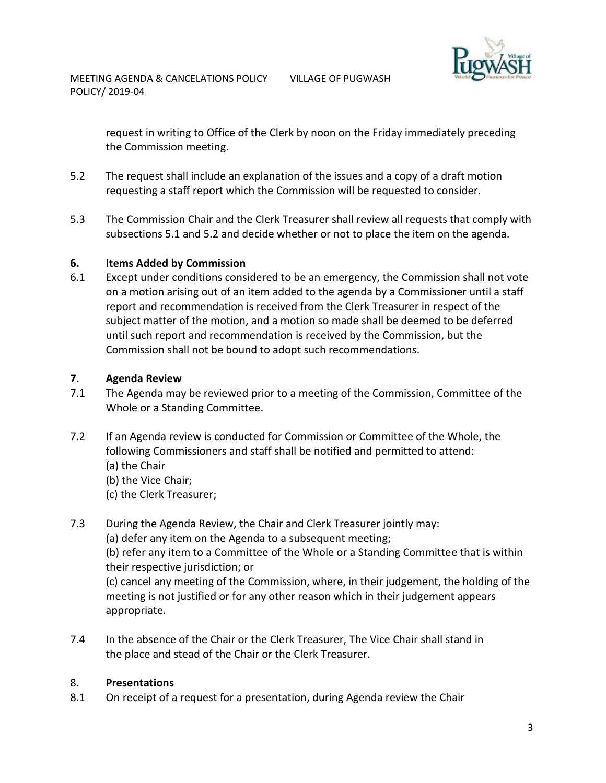

request in writing to Office of the Clerk by noon on the Friday immediately preceding the Commission meeting.

- 5.2 The request shall include an explanation of the issues and a copy of a draft motion requesting a staff report which the Commission will be requested to consider.
- 5.3 The Commission Chair and the Clerk Treasurer shall review all requests that comply with subsections 5.1 and 5.2 and decide whether or not to place the item on the agenda.

## **6. Items Added by Commission**

6.1 Except under conditions considered to be an emergency, the Commission shall not vote on a motion arising out of an item added to the agenda by a Commissioner until a staff report and recommendation is received from the Clerk Treasurer in respect of the subject matter of the motion, and a motion so made shall be deemed to be deferred until such report and recommendation is received by the Commission, but the Commission shall not be bound to adopt such recommendations.

# **7. Agenda Review**

- 7.1 The Agenda may be reviewed prior to a meeting of the Commission, Committee of the Whole or a Standing Committee.
- 7.2 If an Agenda review is conducted for Commission or Committee of the Whole, the following Commissioners and staff shall be notified and permitted to attend: (a) the Chair
	- (b) the Vice Chair;
	- (c) the Clerk Treasurer;
- 7.3 During the Agenda Review, the Chair and Clerk Treasurer jointly may:

(a) defer any item on the Agenda to a subsequent meeting;

(b) refer any item to a Committee of the Whole or a Standing Committee that is within their respective jurisdiction; or

(c) cancel any meeting of the Commission, where, in their judgement, the holding of the meeting is not justified or for any other reason which in their judgement appears appropriate.

7.4 In the absence of the Chair or the Clerk Treasurer, The Vice Chair shall stand in the place and stead of the Chair or the Clerk Treasurer.

# 8. **Presentations**

8.1 On receipt of a request for a presentation, during Agenda review the Chair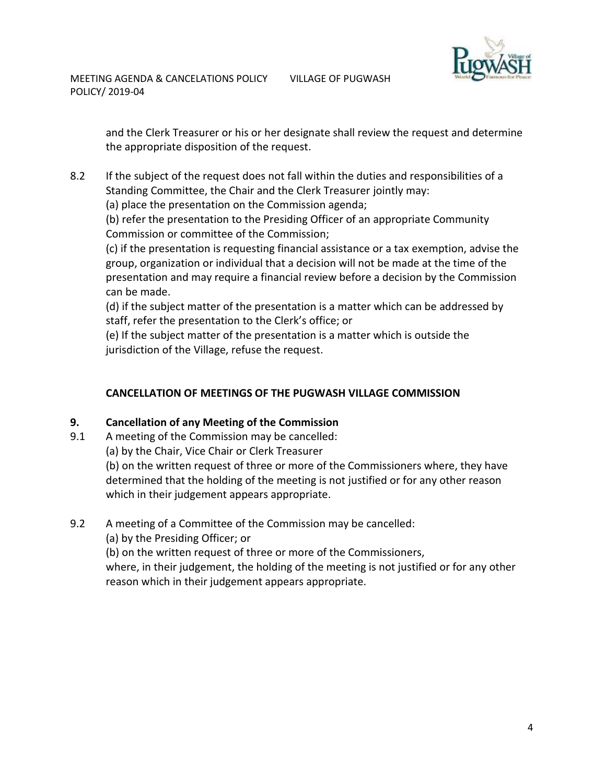

MEETING AGENDA & CANCELATIONS POLICY VILLAGE OF PUGWASH POLICY/ 2019-04

> and the Clerk Treasurer or his or her designate shall review the request and determine the appropriate disposition of the request.

8.2 If the subject of the request does not fall within the duties and responsibilities of a Standing Committee, the Chair and the Clerk Treasurer jointly may:

(a) place the presentation on the Commission agenda;

(b) refer the presentation to the Presiding Officer of an appropriate Community Commission or committee of the Commission;

(c) if the presentation is requesting financial assistance or a tax exemption, advise the group, organization or individual that a decision will not be made at the time of the presentation and may require a financial review before a decision by the Commission can be made.

(d) if the subject matter of the presentation is a matter which can be addressed by staff, refer the presentation to the Clerk's office; or

(e) If the subject matter of the presentation is a matter which is outside the jurisdiction of the Village, refuse the request.

# **CANCELLATION OF MEETINGS OF THE PUGWASH VILLAGE COMMISSION**

## **9. Cancellation of any Meeting of the Commission**

9.1 A meeting of the Commission may be cancelled:

(a) by the Chair, Vice Chair or Clerk Treasurer

(b) on the written request of three or more of the Commissioners where, they have determined that the holding of the meeting is not justified or for any other reason which in their judgement appears appropriate.

## 9.2 A meeting of a Committee of the Commission may be cancelled:

(a) by the Presiding Officer; or

(b) on the written request of three or more of the Commissioners,

where, in their judgement, the holding of the meeting is not justified or for any other reason which in their judgement appears appropriate.